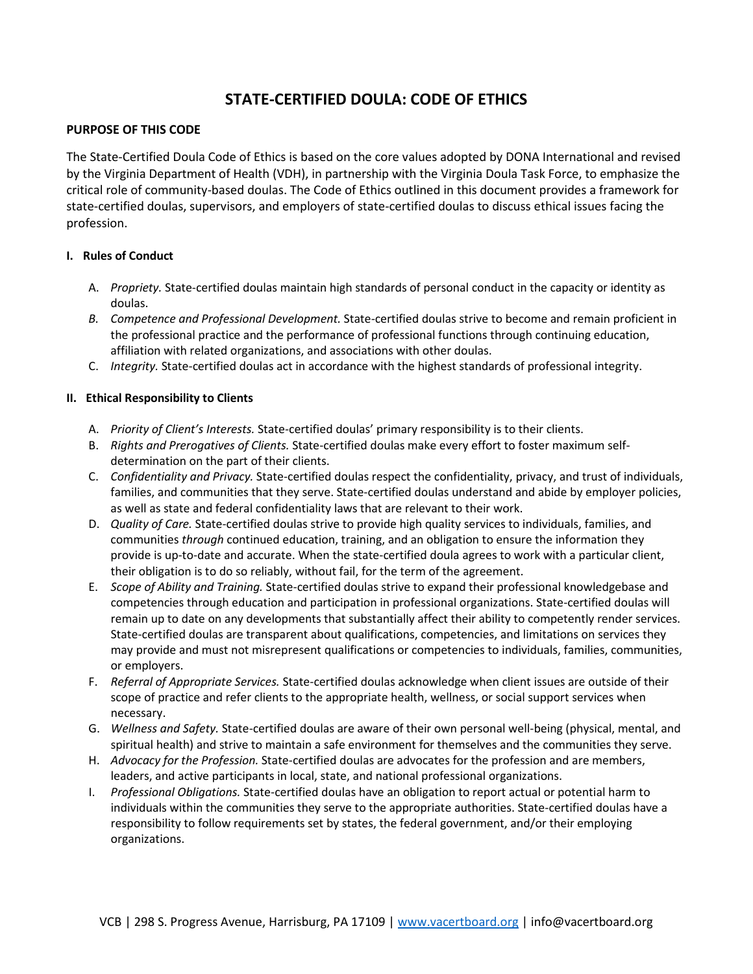# **STATE-CERTIFIED DOULA: CODE OF ETHICS**

## **PURPOSE OF THIS CODE**

The State-Certified Doula Code of Ethics is based on the core values adopted by DONA International and revised by the Virginia Department of Health (VDH), in partnership with the Virginia Doula Task Force, to emphasize the critical role of community-based doulas. The Code of Ethics outlined in this document provides a framework for state-certified doulas, supervisors, and employers of state-certified doulas to discuss ethical issues facing the profession.

### **I. Rules of Conduct**

- A. *Propriety.* State-certified doulas maintain high standards of personal conduct in the capacity or identity as doulas.
- *B. Competence and Professional Development.* State-certified doulas strive to become and remain proficient in the professional practice and the performance of professional functions through continuing education, affiliation with related organizations, and associations with other doulas.
- C. *Integrity.* State-certified doulas act in accordance with the highest standards of professional integrity.

### **II. Ethical Responsibility to Clients**

- A. *Priority of Client's Interests.* State-certified doulas' primary responsibility is to their clients.
- B. *Rights and Prerogatives of Clients.* State-certified doulas make every effort to foster maximum selfdetermination on the part of their clients.
- C. *Confidentiality and Privacy.* State-certified doulas respect the confidentiality, privacy, and trust of individuals, families, and communities that they serve. State-certified doulas understand and abide by employer policies, as well as state and federal confidentiality laws that are relevant to their work.
- D. *Quality of Care.* State-certified doulas strive to provide high quality services to individuals, families, and communities *through* continued education, training, and an obligation to ensure the information they provide is up-to-date and accurate. When the state-certified doula agrees to work with a particular client, their obligation is to do so reliably, without fail, for the term of the agreement.
- E. *Scope of Ability and Training.* State-certified doulas strive to expand their professional knowledgebase and competencies through education and participation in professional organizations. State-certified doulas will remain up to date on any developments that substantially affect their ability to competently render services. State-certified doulas are transparent about qualifications, competencies, and limitations on services they may provide and must not misrepresent qualifications or competencies to individuals, families, communities, or employers.
- F. *Referral of Appropriate Services.* State-certified doulas acknowledge when client issues are outside of their scope of practice and refer clients to the appropriate health, wellness, or social support services when necessary.
- G. *Wellness and Safety.* State-certified doulas are aware of their own personal well-being (physical, mental, and spiritual health) and strive to maintain a safe environment for themselves and the communities they serve.
- H. *Advocacy for the Profession.* State-certified doulas are advocates for the profession and are members, leaders, and active participants in local, state, and national professional organizations.
- I. *Professional Obligations.* State-certified doulas have an obligation to report actual or potential harm to individuals within the communities they serve to the appropriate authorities. State-certified doulas have a responsibility to follow requirements set by states, the federal government, and/or their employing organizations.